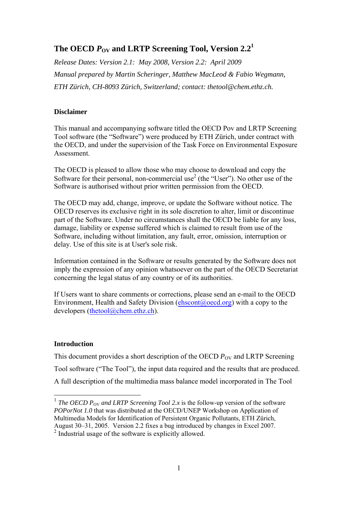# The OECD  $P_{\text{OV}}$  and LRTP Screening Tool, Version  $2.2^1$

*Release Dates: Version 2.1: May 2008, Version 2.2: April 2009 Manual prepared by Martin Scheringer, Matthew MacLeod & Fabio Wegmann, ETH Zürich, CH-8093 Zürich, Switzerland; contact: thetool@chem.ethz.ch.* 

# **Disclaimer**

This manual and accompanying software titled the OECD Pov and LRTP Screening Tool software (the "Software") were produced by ETH Zürich, under contract with the OECD, and under the supervision of the Task Force on Environmental Exposure Assessment.

The OECD is pleased to allow those who may choose to download and copy the Software for their personal, non-commercial use<sup>2</sup> (the "User"). No other use of the Software is authorised without prior written permission from the OECD.

The OECD may add, change, improve, or update the Software without notice. The OECD reserves its exclusive right in its sole discretion to alter, limit or discontinue part of the Software. Under no circumstances shall the OECD be liable for any loss, damage, liability or expense suffered which is claimed to result from use of the Software, including without limitation, any fault, error, omission, interruption or delay. Use of this site is at User's sole risk.

Information contained in the Software or results generated by the Software does not imply the expression of any opinion whatsoever on the part of the OECD Secretariat concerning the legal status of any country or of its authorities.

If Users want to share comments or corrections, please send an e-mail to the OECD Environment, Health and Safety Division ( $\epsilon$ hscont $(\partial \text{oecd} \text{.org})$ ) with a copy to the developers (thetool@chem.ethz.ch).

# **Introduction**

This document provides a short description of the OECD  $P_{\text{OV}}$  and LRTP Screening Tool software ("The Tool"), the input data required and the results that are produced. A full description of the multimedia mass balance model incorporated in The Tool

<sup>&</sup>lt;sup>1</sup> *The OECD P*<sub>OV</sub> and LRTP Screening Tool 2.x is the follow-up version of the software *POPorNot 1.0* that was distributed at the OECD/UNEP Workshop on Application of Multimedia Models for Identification of Persistent Organic Pollutants, ETH Zürich, August 30–31, 2005. Version 2.2 fixes a bug introduced by changes in Excel 2007.

<sup>2</sup> Industrial usage of the software is explicitly allowed.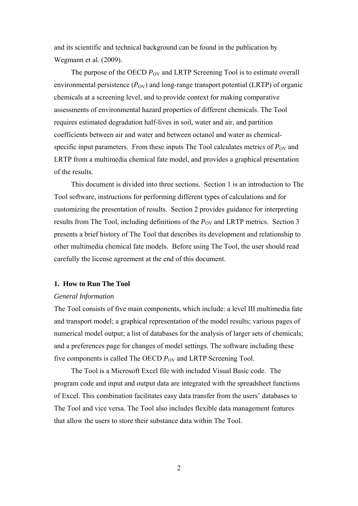and its scientific and technical background can be found in the publication by Wegmann et al. (2009).

The purpose of the OECD  $P_{\text{OV}}$  and LRTP Screening Tool is to estimate overall environmental persistence  $(P_{\text{OV}})$  and long-range transport potential (LRTP) of organic chemicals at a screening level, and to provide context for making comparative assessments of environmental hazard properties of different chemicals. The Tool requires estimated degradation half-lives in soil, water and air, and partition coefficients between air and water and between octanol and water as chemicalspecific input parameters. From these inputs The Tool calculates metrics of  $P_{\text{OV}}$  and LRTP from a multimedia chemical fate model, and provides a graphical presentation of the results.

This document is divided into three sections. Section 1 is an introduction to The Tool software, instructions for performing different types of calculations and for customizing the presentation of results. Section 2 provides guidance for interpreting results from The Tool, including definitions of the  $P_{\rm OV}$  and LRTP metrics. Section 3 presents a brief history of The Tool that describes its development and relationship to other multimedia chemical fate models. Before using The Tool, the user should read carefully the license agreement at the end of this document.

### **1. How to Run The Tool**

### *General Information*

The Tool consists of five main components, which include: a level III multimedia fate and transport model; a graphical representation of the model results; various pages of numerical model output; a list of databases for the analysis of larger sets of chemicals; and a preferences page for changes of model settings. The software including these five components is called The OECD  $P_{\text{OV}}$  and LRTP Screening Tool.

The Tool is a Microsoft Excel file with included Visual Basic code. The program code and input and output data are integrated with the spreadsheet functions of Excel. This combination facilitates easy data transfer from the users' databases to The Tool and vice versa. The Tool also includes flexible data management features that allow the users to store their substance data within The Tool.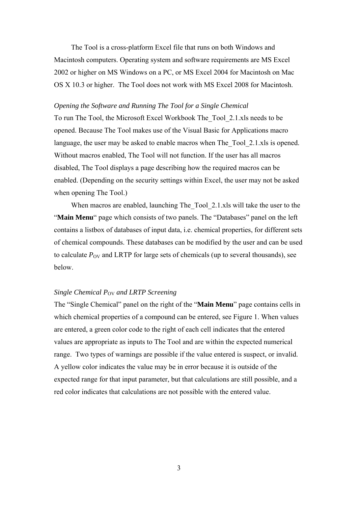The Tool is a cross-platform Excel file that runs on both Windows and Macintosh computers. Operating system and software requirements are MS Excel 2002 or higher on MS Windows on a PC, or MS Excel 2004 for Macintosh on Mac OS X 10.3 or higher. The Tool does not work with MS Excel 2008 for Macintosh.

# *Opening the Software and Running The Tool for a Single Chemical*

To run The Tool, the Microsoft Excel Workbook The\_Tool\_2.1.xls needs to be opened. Because The Tool makes use of the Visual Basic for Applications macro language, the user may be asked to enable macros when The Tool 2.1.xls is opened. Without macros enabled, The Tool will not function. If the user has all macros disabled, The Tool displays a page describing how the required macros can be enabled. (Depending on the security settings within Excel, the user may not be asked when opening The Tool.)

When macros are enabled, launching The Tool 2.1.xls will take the user to the "**Main Menu**" page which consists of two panels. The "Databases" panel on the left contains a listbox of databases of input data, i.e. chemical properties, for different sets of chemical compounds. These databases can be modified by the user and can be used to calculate  $P_{\text{OV}}$  and LRTP for large sets of chemicals (up to several thousands), see below.

# *Single Chemical P<sub>OV</sub> and LRTP Screening*

The "Single Chemical" panel on the right of the "**Main Menu**" page contains cells in which chemical properties of a compound can be entered, see Figure 1. When values are entered, a green color code to the right of each cell indicates that the entered values are appropriate as inputs to The Tool and are within the expected numerical range. Two types of warnings are possible if the value entered is suspect, or invalid. A yellow color indicates the value may be in error because it is outside of the expected range for that input parameter, but that calculations are still possible, and a red color indicates that calculations are not possible with the entered value.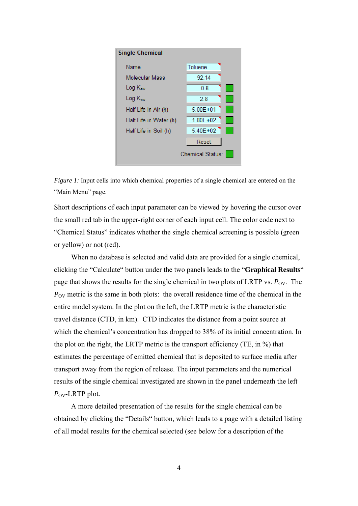



Short descriptions of each input parameter can be viewed by hovering the cursor over the small red tab in the upper-right corner of each input cell. The color code next to "Chemical Status" indicates whether the single chemical screening is possible (green or yellow) or not (red).

When no database is selected and valid data are provided for a single chemical, clicking the "Calculate" button under the two panels leads to the "**Graphical Results**" page that shows the results for the single chemical in two plots of LRTP vs.  $P_{\text{OV}}$ . The  $P_{\rm OV}$  metric is the same in both plots: the overall residence time of the chemical in the entire model system. In the plot on the left, the LRTP metric is the characteristic travel distance (CTD, in km). CTD indicates the distance from a point source at which the chemical's concentration has dropped to 38% of its initial concentration. In the plot on the right, the LRTP metric is the transport efficiency (TE, in %) that estimates the percentage of emitted chemical that is deposited to surface media after transport away from the region of release. The input parameters and the numerical results of the single chemical investigated are shown in the panel underneath the left *P*<sub>OV</sub>-LRTP plot.

A more detailed presentation of the results for the single chemical can be obtained by clicking the "Details" button, which leads to a page with a detailed listing of all model results for the chemical selected (see below for a description of the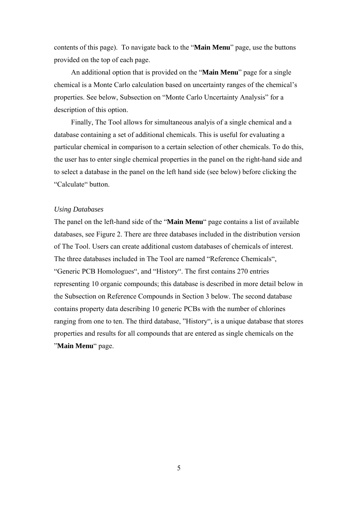contents of this page). To navigate back to the "**Main Menu**" page, use the buttons provided on the top of each page.

An additional option that is provided on the "**Main Menu**" page for a single chemical is a Monte Carlo calculation based on uncertainty ranges of the chemical's properties. See below, Subsection on "Monte Carlo Uncertainty Analysis" for a description of this option.

Finally, The Tool allows for simultaneous analyis of a single chemical and a database containing a set of additional chemicals. This is useful for evaluating a particular chemical in comparison to a certain selection of other chemicals. To do this, the user has to enter single chemical properties in the panel on the right-hand side and to select a database in the panel on the left hand side (see below) before clicking the "Calculate" button.

### *Using Databases*

The panel on the left-hand side of the "**Main Menu**" page contains a list of available databases, see Figure 2. There are three databases included in the distribution version of The Tool. Users can create additional custom databases of chemicals of interest. The three databases included in The Tool are named "Reference Chemicals", "Generic PCB Homologues", and "History". The first contains 270 entries representing 10 organic compounds; this database is described in more detail below in the Subsection on Reference Compounds in Section 3 below. The second database contains property data describing 10 generic PCBs with the number of chlorines ranging from one to ten. The third database, "History", is a unique database that stores properties and results for all compounds that are entered as single chemicals on the "**Main Menu**" page.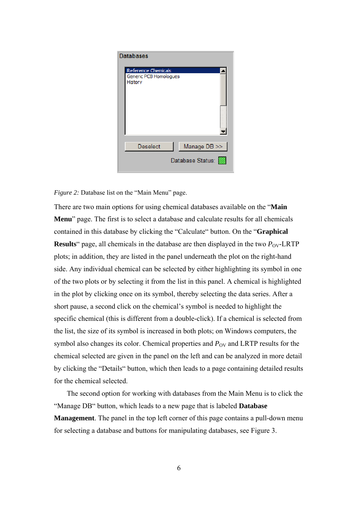

*Figure 2:* Database list on the "Main Menu" page.

There are two main options for using chemical databases available on the "**Main Menu**" page. The first is to select a database and calculate results for all chemicals contained in this database by clicking the "Calculate" button. On the "**Graphical Results**" page, all chemicals in the database are then displayed in the two  $P_{\text{OV}}$ -LRTP plots; in addition, they are listed in the panel underneath the plot on the right-hand side. Any individual chemical can be selected by either highlighting its symbol in one of the two plots or by selecting it from the list in this panel. A chemical is highlighted in the plot by clicking once on its symbol, thereby selecting the data series. After a short pause, a second click on the chemical's symbol is needed to highlight the specific chemical (this is different from a double-click). If a chemical is selected from the list, the size of its symbol is increased in both plots; on Windows computers, the symbol also changes its color. Chemical properties and *P*<sub>OV</sub> and LRTP results for the chemical selected are given in the panel on the left and can be analyzed in more detail by clicking the "Details" button, which then leads to a page containing detailed results for the chemical selected.

The second option for working with databases from the Main Menu is to click the "Manage DB" button, which leads to a new page that is labeled **Database Management**. The panel in the top left corner of this page contains a pull-down menu for selecting a database and buttons for manipulating databases, see Figure 3.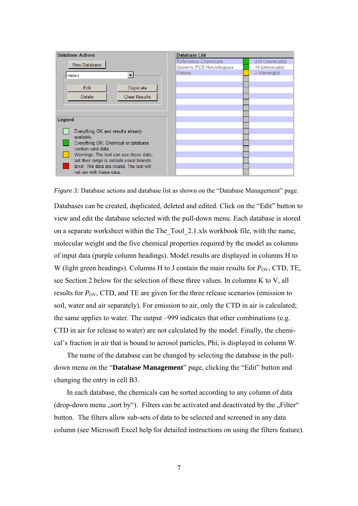

*Figure 3:* Database actions and database list as shown on the "Database Management" page. Databases can be created, duplicated, deleted and edited. Click on the "Edit" button to view and edit the database selected with the pull-down menu. Each database is stored on a separate worksheet within the The\_Tool\_2.1.xls workbook file, with the name, molecular weight and the five chemical properties required by the model as columns of input data (purple column headings). Model results are displayed in columns H to W (light green headings). Columns H to J contain the main results for  $P_{\text{OV}}$ , CTD, TE, see Section 2 below for the selection of these three values. In columns K to V, all results for  $P_{\rm OV}$ , CTD, and TE are given for the three release scenarios (emission to soil, water and air separately). For emission to air, only the CTD in air is calculated; the same applies to water. The output –999 indicates that other combinations (e.g. CTD in air for release to water) are not calculated by the model. Finally, the chemical's fraction in air that is bound to aerosol particles, Phi, is displayed in column W.

The name of the database can be changed by selecting the database in the pulldown menu on the "**Database Management**" page, clicking the "Edit" button and changing the entry in cell B3.

In each database, the chemicals can be sorted according to any column of data (drop-down menu , sort by"). Filters can be activated and deactivated by the  $\mathcal{F}$ -Filter. button. The filters allow sub-sets of data to be selected and screened in any data column (see Microsoft Excel help for detailed instructions on using the filters feature).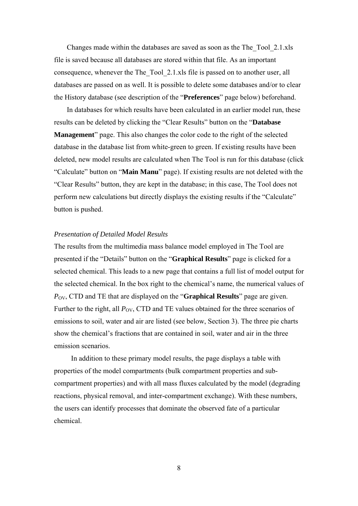Changes made within the databases are saved as soon as the The\_Tool\_2.1.xls file is saved because all databases are stored within that file. As an important consequence, whenever the The Tool 2.1.xls file is passed on to another user, all databases are passed on as well. It is possible to delete some databases and/or to clear the History database (see description of the "**Preferences**" page below) beforehand.

In databases for which results have been calculated in an earlier model run, these results can be deleted by clicking the "Clear Results" button on the "**Database Management**" page. This also changes the color code to the right of the selected database in the database list from white-green to green. If existing results have been deleted, new model results are calculated when The Tool is run for this database (click "Calculate" button on "**Main Manu**" page). If existing results are not deleted with the "Clear Results" button, they are kept in the database; in this case, The Tool does not perform new calculations but directly displays the existing results if the "Calculate" button is pushed.

### *Presentation of Detailed Model Results*

The results from the multimedia mass balance model employed in The Tool are presented if the "Details" button on the "**Graphical Results**" page is clicked for a selected chemical. This leads to a new page that contains a full list of model output for the selected chemical. In the box right to the chemical's name, the numerical values of *P*<sub>OV</sub>, CTD and TE that are displayed on the "**Graphical Results**" page are given. Further to the right, all  $P_{\rm OV}$ , CTD and TE values obtained for the three scenarios of emissions to soil, water and air are listed (see below, Section 3). The three pie charts show the chemical's fractions that are contained in soil, water and air in the three emission scenarios.

In addition to these primary model results, the page displays a table with properties of the model compartments (bulk compartment properties and subcompartment properties) and with all mass fluxes calculated by the model (degrading reactions, physical removal, and inter-compartment exchange). With these numbers, the users can identify processes that dominate the observed fate of a particular chemical.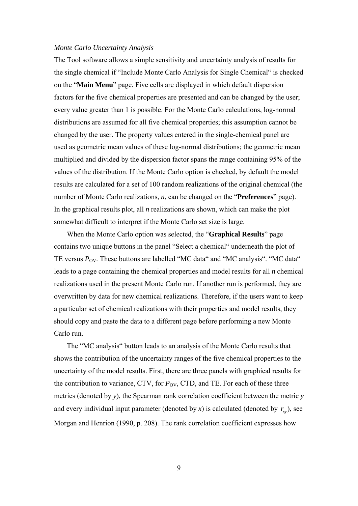### *Monte Carlo Uncertainty Analysis*

The Tool software allows a simple sensitivity and uncertainty analysis of results for the single chemical if "Include Monte Carlo Analysis for Single Chemical" is checked on the "**Main Menu**" page. Five cells are displayed in which default dispersion factors for the five chemical properties are presented and can be changed by the user; every value greater than 1 is possible. For the Monte Carlo calculations, log-normal distributions are assumed for all five chemical properties; this assumption cannot be changed by the user. The property values entered in the single-chemical panel are used as geometric mean values of these log-normal distributions; the geometric mean multiplied and divided by the dispersion factor spans the range containing 95% of the values of the distribution. If the Monte Carlo option is checked, by default the model results are calculated for a set of 100 random realizations of the original chemical (the number of Monte Carlo realizations, *n*, can be changed on the "**Preferences**" page). In the graphical results plot, all *n* realizations are shown, which can make the plot somewhat difficult to interpret if the Monte Carlo set size is large.

When the Monte Carlo option was selected, the "**Graphical Results**" page contains two unique buttons in the panel "Select a chemical" underneath the plot of TE versus  $P_{\text{OV}}$ . These buttons are labelled "MC data" and "MC analysis". "MC data" leads to a page containing the chemical properties and model results for all *n* chemical realizations used in the present Monte Carlo run. If another run is performed, they are overwritten by data for new chemical realizations. Therefore, if the users want to keep a particular set of chemical realizations with their properties and model results, they should copy and paste the data to a different page before performing a new Monte Carlo run.

The "MC analysis" button leads to an analysis of the Monte Carlo results that shows the contribution of the uncertainty ranges of the five chemical properties to the uncertainty of the model results. First, there are three panels with graphical results for the contribution to variance, CTV, for  $P_{\text{OV}}$ , CTD, and TE. For each of these three metrics (denoted by *y*), the Spearman rank correlation coefficient between the metric *y* and every individual input parameter (denoted by *x*) is calculated (denoted by  $r_{xy}$ ), see Morgan and Henrion (1990, p. 208). The rank correlation coefficient expresses how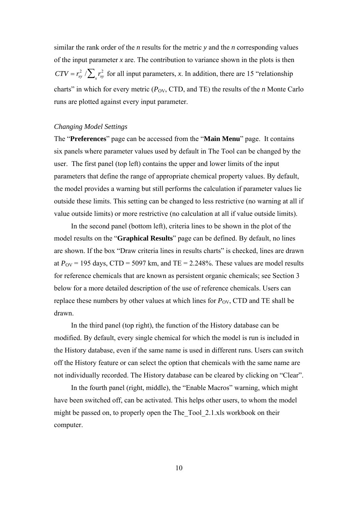similar the rank order of the *n* results for the metric *y* and the *n* corresponding values of the input parameter *x* are. The contribution to variance shown in the plots is then  $CTV = r_{xy}^2 / \sum_{x} r_{xy}^2$  for all input parameters, *x*. In addition, there are 15 "relationship" charts" in which for every metric  $(P_{\text{OV}}, \text{CTD}, \text{and TE})$  the results of the *n* Monte Carlo runs are plotted against every input parameter.

## *Changing Model Settings*

The "**Preferences**" page can be accessed from the "**Main Menu**" page. It contains six panels where parameter values used by default in The Tool can be changed by the user. The first panel (top left) contains the upper and lower limits of the input parameters that define the range of appropriate chemical property values. By default, the model provides a warning but still performs the calculation if parameter values lie outside these limits. This setting can be changed to less restrictive (no warning at all if value outside limits) or more restrictive (no calculation at all if value outside limits).

In the second panel (bottom left), criteria lines to be shown in the plot of the model results on the "**Graphical Results**" page can be defined. By default, no lines are shown. If the box "Draw criteria lines in results charts" is checked, lines are drawn at  $P_{\text{OV}}$  = 195 days, CTD = 5097 km, and TE = 2.248%. These values are model results for reference chemicals that are known as persistent organic chemicals; see Section 3 below for a more detailed description of the use of reference chemicals. Users can replace these numbers by other values at which lines for  $P_{\rm OV}$ , CTD and TE shall be drawn.

In the third panel (top right), the function of the History database can be modified. By default, every single chemical for which the model is run is included in the History database, even if the same name is used in different runs. Users can switch off the History feature or can select the option that chemicals with the same name are not individually recorded. The History database can be cleared by clicking on "Clear".

In the fourth panel (right, middle), the "Enable Macros" warning, which might have been switched off, can be activated. This helps other users, to whom the model might be passed on, to properly open the The Tool 2.1.xls workbook on their computer.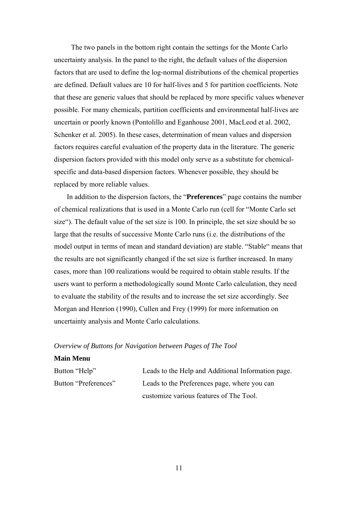The two panels in the bottom right contain the settings for the Monte Carlo uncertainty analysis. In the panel to the right, the default values of the dispersion factors that are used to define the log-normal distributions of the chemical properties are defined. Default values are 10 for half-lives and 5 for partition coefficients. Note that these are generic values that should be replaced by more specific values whenever possible. For many chemicals, partition coefficients and environmental half-lives are uncertain or poorly known (Pontolillo and Eganhouse 2001, MacLeod et al. 2002, Schenker et al. 2005). In these cases, determination of mean values and dispersion factors requires careful evaluation of the property data in the literature. The generic dispersion factors provided with this model only serve as a substitute for chemicalspecific and data-based dispersion factors. Whenever possible, they should be replaced by more reliable values.

In addition to the dispersion factors, the "**Preferences**" page contains the number of chemical realizations that is used in a Monte Carlo run (cell for "Monte Carlo set size"). The default value of the set size is 100. In principle, the set size should be so large that the results of successive Monte Carlo runs (i.e. the distributions of the model output in terms of mean and standard deviation) are stable. "Stable" means that the results are not significantly changed if the set size is further increased. In many cases, more than 100 realizations would be required to obtain stable results. If the users want to perform a methodologically sound Monte Carlo calculation, they need to evaluate the stability of the results and to increase the set size accordingly. See Morgan and Henrion (1990), Cullen and Frey (1999) for more information on uncertainty analysis and Monte Carlo calculations.

## *Overview of Buttons for Navigation between Pages of The Tool*

### **Main Menu**

| Button "Help"        | Leads to the Help and Additional Information page. |
|----------------------|----------------------------------------------------|
| Button "Preferences" | Leads to the Preferences page, where you can       |
|                      | customize various features of The Tool.            |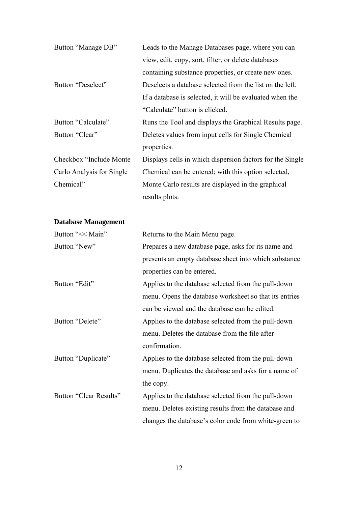| Button "Manage DB"        | Leads to the Manage Databases page, where you can         |
|---------------------------|-----------------------------------------------------------|
|                           | view, edit, copy, sort, filter, or delete databases       |
|                           | containing substance properties, or create new ones.      |
| Button "Deselect"         | Deselects a database selected from the list on the left.  |
|                           | If a database is selected, it will be evaluated when the  |
|                           | "Calculate" button is clicked.                            |
| Button "Calculate"        | Runs the Tool and displays the Graphical Results page.    |
| Button "Clear"            | Deletes values from input cells for Single Chemical       |
|                           | properties.                                               |
| Checkbox "Include Monte"  | Displays cells in which dispersion factors for the Single |
| Carlo Analysis for Single | Chemical can be entered; with this option selected,       |
| Chemical"                 | Monte Carlo results are displayed in the graphical        |
|                           | results plots.                                            |
|                           |                                                           |

# **Database Management**

| Button "<< Main"       | Returns to the Main Menu page.                         |
|------------------------|--------------------------------------------------------|
| Button "New"           | Prepares a new database page, asks for its name and    |
|                        | presents an empty database sheet into which substance  |
|                        | properties can be entered.                             |
| Button "Edit"          | Applies to the database selected from the pull-down    |
|                        | menu. Opens the database worksheet so that its entries |
|                        | can be viewed and the database can be edited.          |
| Button "Delete"        | Applies to the database selected from the pull-down    |
|                        | menu. Deletes the database from the file after         |
|                        | confirmation.                                          |
| Button "Duplicate"     | Applies to the database selected from the pull-down    |
|                        | menu. Duplicates the database and asks for a name of   |
|                        | the copy.                                              |
| Button "Clear Results" | Applies to the database selected from the pull-down    |
|                        | menu. Deletes existing results from the database and   |
|                        | changes the database's color code from white-green to  |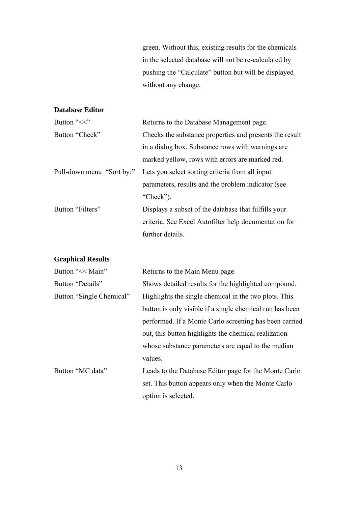green. Without this, existing results for the chemicals in the selected database will not be re-calculated by pushing the "Calculate" button but will be displayed without any change.

# **Database Editor**

| Button "<<"      | Returns to the Database Management page.                                  |
|------------------|---------------------------------------------------------------------------|
| Button "Check"   | Checks the substance properties and presents the result                   |
|                  | in a dialog box. Substance rows with warnings are                         |
|                  | marked yellow, rows with errors are marked red.                           |
|                  | Pull-down menu "Sort by:" Lets you select sorting criteria from all input |
|                  | parameters, results and the problem indicator (see                        |
|                  | "Check").                                                                 |
| Button "Filters" | Displays a subset of the database that fulfills your                      |
|                  | criteria. See Excel Autofilter help documentation for                     |
|                  | further details.                                                          |

# **Graphical Results**

| Returns to the Main Menu page.                           |
|----------------------------------------------------------|
| Shows detailed results for the highlighted compound.     |
| Highlights the single chemical in the two plots. This    |
| button is only visible if a single chemical run has been |
| performed. If a Monte Carlo screening has been carried   |
| out, this button highlights the chemical realization     |
| whose substance parameters are equal to the median       |
| values.                                                  |
| Leads to the Database Editor page for the Monte Carlo    |
| set. This button appears only when the Monte Carlo       |
| option is selected.                                      |
|                                                          |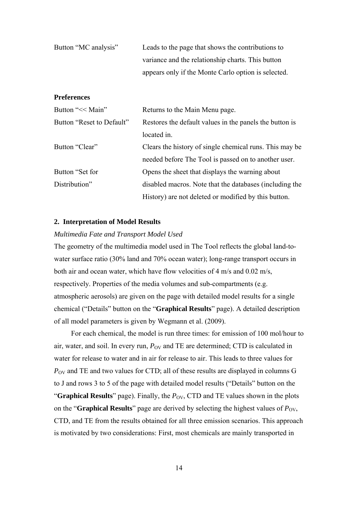| Button "MC analysis" | Leads to the page that shows the contributions to   |
|----------------------|-----------------------------------------------------|
|                      | variance and the relationship charts. This button   |
|                      | appears only if the Monte Carlo option is selected. |

## **Preferences**

| Button "<< Main"          | Returns to the Main Menu page.                          |
|---------------------------|---------------------------------------------------------|
| Button "Reset to Default" | Restores the default values in the panels the button is |
|                           | located in.                                             |
| Button "Clear"            | Clears the history of single chemical runs. This may be |
|                           | needed before The Tool is passed on to another user.    |
| Button "Set for           | Opens the sheet that displays the warning about         |
| Distribution"             | disabled macros. Note that the databases (including the |
|                           | History) are not deleted or modified by this button.    |

### **2. Interpretation of Model Results**

### *Multimedia Fate and Transport Model Used*

The geometry of the multimedia model used in The Tool reflects the global land-towater surface ratio (30% land and 70% ocean water); long-range transport occurs in both air and ocean water, which have flow velocities of 4 m/s and 0.02 m/s, respectively. Properties of the media volumes and sub-compartments (e.g. atmospheric aerosols) are given on the page with detailed model results for a single chemical ("Details" button on the "**Graphical Results**" page). A detailed description of all model parameters is given by Wegmann et al. (2009).

For each chemical, the model is run three times: for emission of 100 mol/hour to air, water, and soil. In every run,  $P_{\text{OV}}$  and TE are determined; CTD is calculated in water for release to water and in air for release to air. This leads to three values for *P*<sub>OV</sub> and TE and two values for CTD; all of these results are displayed in columns G to J and rows 3 to 5 of the page with detailed model results ("Details" button on the "**Graphical Results**" page). Finally, the  $P_{\text{OV}}$ , CTD and TE values shown in the plots on the "**Graphical Results**" page are derived by selecting the highest values of  $P_{\text{OV}}$ , CTD, and TE from the results obtained for all three emission scenarios. This approach is motivated by two considerations: First, most chemicals are mainly transported in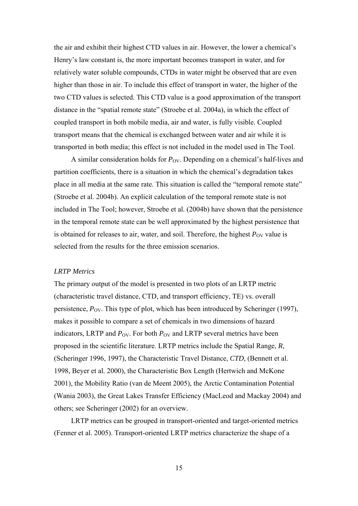the air and exhibit their highest CTD values in air. However, the lower a chemical's Henry's law constant is, the more important becomes transport in water, and for relatively water soluble compounds, CTDs in water might be observed that are even higher than those in air. To include this effect of transport in water, the higher of the two CTD values is selected. This CTD value is a good approximation of the transport distance in the "spatial remote state" (Stroebe et al. 2004a), in which the effect of coupled transport in both mobile media, air and water, is fully visible. Coupled transport means that the chemical is exchanged between water and air while it is transported in both media; this effect is not included in the model used in The Tool.

A similar consideration holds for  $P_{\text{OV}}$ . Depending on a chemical's half-lives and partition coefficients, there is a situation in which the chemical's degradation takes place in all media at the same rate. This situation is called the "temporal remote state" (Stroebe et al. 2004b). An explicit calculation of the temporal remote state is not included in The Tool; however, Stroebe et al. (2004b) have shown that the persistence in the temporal remote state can be well approximated by the highest persistence that is obtained for releases to air, water, and soil. Therefore, the highest  $P_{\rm OV}$  value is selected from the results for the three emission scenarios.

#### *LRTP Metrics*

The primary output of the model is presented in two plots of an LRTP metric (characteristic travel distance, CTD, and transport efficiency, TE) vs. overall persistence,  $P_{\text{OV}}$ . This type of plot, which has been introduced by Scheringer (1997), makes it possible to compare a set of chemicals in two dimensions of hazard indicators, LRTP and  $P_{\text{OV}}$ . For both  $P_{\text{OV}}$  and LRTP several metrics have been proposed in the scientific literature. LRTP metrics include the Spatial Range, *R*, (Scheringer 1996, 1997), the Characteristic Travel Distance, *CTD*, (Bennett et al. 1998, Beyer et al. 2000), the Characteristic Box Length (Hertwich and McKone 2001), the Mobility Ratio (van de Meent 2005), the Arctic Contamination Potential (Wania 2003), the Great Lakes Transfer Efficiency (MacLeod and Mackay 2004) and others; see Scheringer (2002) for an overview.

LRTP metrics can be grouped in transport-oriented and target-oriented metrics (Fenner et al. 2005). Transport-oriented LRTP metrics characterize the shape of a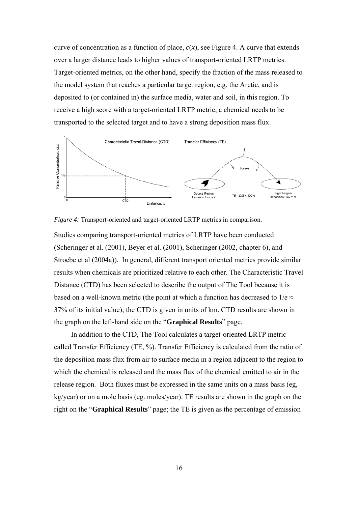curve of concentration as a function of place,  $c(x)$ , see Figure 4. A curve that extends over a larger distance leads to higher values of transport-oriented LRTP metrics. Target-oriented metrics, on the other hand, specify the fraction of the mass released to the model system that reaches a particular target region, e.g. the Arctic, and is deposited to (or contained in) the surface media, water and soil, in this region. To receive a high score with a target-oriented LRTP metric, a chemical needs to be transported to the selected target and to have a strong deposition mass flux.



*Figure 4:* Transport-oriented and target-oriented LRTP metrics in comparison.

Studies comparing transport-oriented metrics of LRTP have been conducted (Scheringer et al. (2001), Beyer et al. (2001), Scheringer (2002, chapter 6), and Stroebe et al (2004a)). In general, different transport oriented metrics provide similar results when chemicals are prioritized relative to each other. The Characteristic Travel Distance (CTD) has been selected to describe the output of The Tool because it is based on a well-known metric (the point at which a function has decreased to  $1/e \approx$ 37% of its initial value); the CTD is given in units of km. CTD results are shown in the graph on the left-hand side on the "**Graphical Results**" page.

In addition to the CTD, The Tool calculates a target-oriented LRTP metric called Transfer Efficiency (TE, %). Transfer Efficiency is calculated from the ratio of the deposition mass flux from air to surface media in a region adjacent to the region to which the chemical is released and the mass flux of the chemical emitted to air in the release region. Both fluxes must be expressed in the same units on a mass basis (eg, kg/year) or on a mole basis (eg. moles/year). TE results are shown in the graph on the right on the "**Graphical Results**" page; the TE is given as the percentage of emission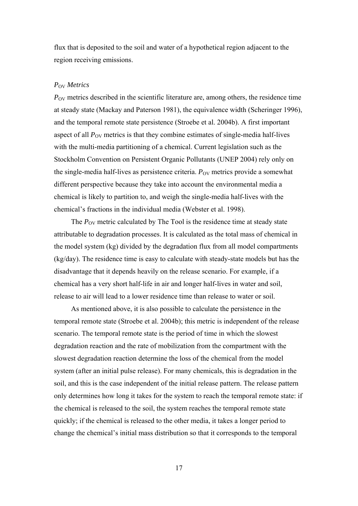flux that is deposited to the soil and water of a hypothetical region adjacent to the region receiving emissions.

## *P*OV *Metrics*

*P*<sub>OV</sub> metrics described in the scientific literature are, among others, the residence time at steady state (Mackay and Paterson 1981), the equivalence width (Scheringer 1996), and the temporal remote state persistence (Stroebe et al. 2004b). A first important aspect of all  $P_{\rm OV}$  metrics is that they combine estimates of single-media half-lives with the multi-media partitioning of a chemical. Current legislation such as the Stockholm Convention on Persistent Organic Pollutants (UNEP 2004) rely only on the single-media half-lives as persistence criteria.  $P_{\rm OV}$  metrics provide a somewhat different perspective because they take into account the environmental media a chemical is likely to partition to, and weigh the single-media half-lives with the chemical's fractions in the individual media (Webster et al. 1998).

The  $P_{\text{OV}}$  metric calculated by The Tool is the residence time at steady state attributable to degradation processes. It is calculated as the total mass of chemical in the model system (kg) divided by the degradation flux from all model compartments (kg/day). The residence time is easy to calculate with steady-state models but has the disadvantage that it depends heavily on the release scenario. For example, if a chemical has a very short half-life in air and longer half-lives in water and soil, release to air will lead to a lower residence time than release to water or soil.

As mentioned above, it is also possible to calculate the persistence in the temporal remote state (Stroebe et al. 2004b); this metric is independent of the release scenario. The temporal remote state is the period of time in which the slowest degradation reaction and the rate of mobilization from the compartment with the slowest degradation reaction determine the loss of the chemical from the model system (after an initial pulse release). For many chemicals, this is degradation in the soil, and this is the case independent of the initial release pattern. The release pattern only determines how long it takes for the system to reach the temporal remote state: if the chemical is released to the soil, the system reaches the temporal remote state quickly; if the chemical is released to the other media, it takes a longer period to change the chemical's initial mass distribution so that it corresponds to the temporal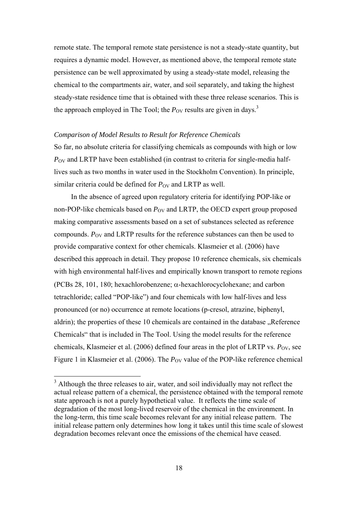remote state. The temporal remote state persistence is not a steady-state quantity, but requires a dynamic model. However, as mentioned above, the temporal remote state persistence can be well approximated by using a steady-state model, releasing the chemical to the compartments air, water, and soil separately, and taking the highest steady-state residence time that is obtained with these three release scenarios. This is the approach employed in The Tool; the  $P_{\rm OV}$  results are given in days.<sup>3</sup>

### *Comparison of Model Results to Result for Reference Chemicals*

So far, no absolute criteria for classifying chemicals as compounds with high or low *P*<sub>OV</sub> and LRTP have been established (in contrast to criteria for single-media halflives such as two months in water used in the Stockholm Convention). In principle, similar criteria could be defined for  $P_{\rm OV}$  and LRTP as well.

In the absence of agreed upon regulatory criteria for identifying POP-like or non-POP-like chemicals based on  $P_{\rm OV}$  and LRTP, the OECD expert group proposed making comparative assessments based on a set of substances selected as reference compounds. P<sub>OV</sub> and LRTP results for the reference substances can then be used to provide comparative context for other chemicals. Klasmeier et al. (2006) have described this approach in detail. They propose 10 reference chemicals, six chemicals with high environmental half-lives and empirically known transport to remote regions (PCBs 28, 101, 180; hexachlorobenzene; α-hexachlorocyclohexane; and carbon tetrachloride; called "POP-like") and four chemicals with low half-lives and less pronounced (or no) occurrence at remote locations (p-cresol, atrazine, biphenyl, aldrin); the properties of these 10 chemicals are contained in the database . Reference Chemicals" that is included in The Tool. Using the model results for the reference chemicals, Klasmeier et al. (2006) defined four areas in the plot of LRTP vs.  $P_{\rm OV}$ , see Figure 1 in Klasmeier et al. (2006). The *P*<sub>OV</sub> value of the POP-like reference chemical

 $\overline{a}$ 

 $3$  Although the three releases to air, water, and soil individually may not reflect the actual release pattern of a chemical, the persistence obtained with the temporal remote state approach is not a purely hypothetical value. It reflects the time scale of degradation of the most long-lived reservoir of the chemical in the environment. In the long-term, this time scale becomes relevant for any initial release pattern. The initial release pattern only determines how long it takes until this time scale of slowest degradation becomes relevant once the emissions of the chemical have ceased.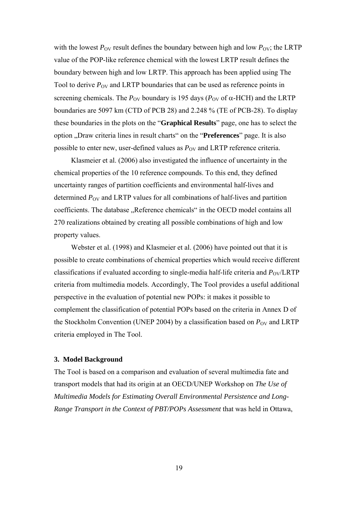with the lowest  $P_{\text{OV}}$  result defines the boundary between high and low  $P_{\text{OV}}$ ; the LRTP value of the POP-like reference chemical with the lowest LRTP result defines the boundary between high and low LRTP. This approach has been applied using The Tool to derive  $P_{\text{OV}}$  and LRTP boundaries that can be used as reference points in screening chemicals. The  $P_{\text{OV}}$  boundary is 195 days ( $P_{\text{OV}}$  of  $\alpha$ -HCH) and the LRTP boundaries are 5097 km (CTD of PCB 28) and 2.248 % (TE of PCB-28). To display these boundaries in the plots on the "**Graphical Results**" page, one has to select the option "Draw criteria lines in result charts" on the "**Preferences**" page. It is also possible to enter new, user-defined values as  $P_{\rm OV}$  and LRTP reference criteria.

Klasmeier et al. (2006) also investigated the influence of uncertainty in the chemical properties of the 10 reference compounds. To this end, they defined uncertainty ranges of partition coefficients and environmental half-lives and determined  $P_{\text{OV}}$  and LRTP values for all combinations of half-lives and partition coefficients. The database "Reference chemicals" in the OECD model contains all 270 realizations obtained by creating all possible combinations of high and low property values.

Webster et al. (1998) and Klasmeier et al. (2006) have pointed out that it is possible to create combinations of chemical properties which would receive different classifications if evaluated according to single-media half-life criteria and  $P_{\rm OV}/LRTP$ criteria from multimedia models. Accordingly, The Tool provides a useful additional perspective in the evaluation of potential new POPs: it makes it possible to complement the classification of potential POPs based on the criteria in Annex D of the Stockholm Convention (UNEP 2004) by a classification based on  $P_{\rm OV}$  and LRTP criteria employed in The Tool.

### **3. Model Background**

The Tool is based on a comparison and evaluation of several multimedia fate and transport models that had its origin at an OECD/UNEP Workshop on *The Use of Multimedia Models for Estimating Overall Environmental Persistence and Long-Range Transport in the Context of PBT/POPs Assessment* that was held in Ottawa,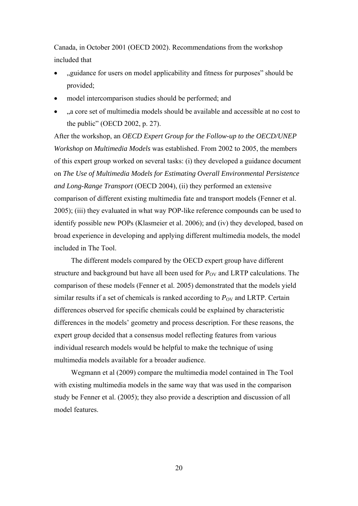Canada, in October 2001 (OECD 2002). Recommendations from the workshop included that

- "guidance for users on model applicability and fitness for purposes" should be provided;
- model intercomparison studies should be performed; and
- "a core set of multimedia models should be available and accessible at no cost to the public" (OECD 2002, p. 27).

After the workshop, an *OECD Expert Group for the Follow-up to the OECD/UNEP Workshop on Multimedia Models* was established. From 2002 to 2005, the members of this expert group worked on several tasks: (i) they developed a guidance document on *The Use of Multimedia Models for Estimating Overall Environmental Persistence and Long-Range Transport* (OECD 2004), (ii) they performed an extensive comparison of different existing multimedia fate and transport models (Fenner et al. 2005); (iii) they evaluated in what way POP-like reference compounds can be used to identify possible new POPs (Klasmeier et al. 2006); and (iv) they developed, based on broad experience in developing and applying different multimedia models, the model included in The Tool.

The different models compared by the OECD expert group have different structure and background but have all been used for  $P_{\rm OV}$  and LRTP calculations. The comparison of these models (Fenner et al. 2005) demonstrated that the models yield similar results if a set of chemicals is ranked according to  $P_{\rm OV}$  and LRTP. Certain differences observed for specific chemicals could be explained by characteristic differences in the models' geometry and process description. For these reasons, the expert group decided that a consensus model reflecting features from various individual research models would be helpful to make the technique of using multimedia models available for a broader audience.

Wegmann et al (2009) compare the multimedia model contained in The Tool with existing multimedia models in the same way that was used in the comparison study be Fenner et al. (2005); they also provide a description and discussion of all model features.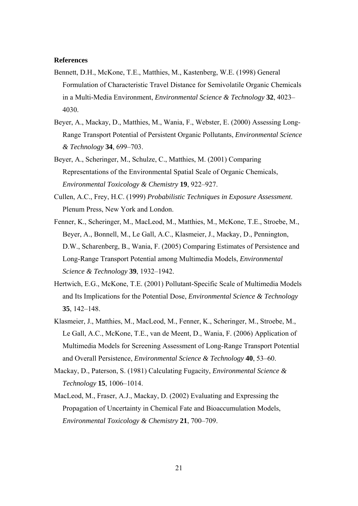### **References**

- Bennett, D.H., McKone, T.E., Matthies, M., Kastenberg, W.E. (1998) General Formulation of Characteristic Travel Distance for Semivolatile Organic Chemicals in a Multi-Media Environment, *Environmental Science & Technology* **32**, 4023– 4030.
- Beyer, A., Mackay, D., Matthies, M., Wania, F., Webster, E. (2000) Assessing Long-Range Transport Potential of Persistent Organic Pollutants, *Environmental Science & Technology* **34**, 699–703.
- Beyer, A., Scheringer, M., Schulze, C., Matthies, M. (2001) Comparing Representations of the Environmental Spatial Scale of Organic Chemicals, *Environmental Toxicology & Chemistry* **19**, 922–927.
- Cullen, A.C., Frey, H.C. (1999) *Probabilistic Techniques in Exposure Assessment*. Plenum Press, New York and London.
- Fenner, K., Scheringer, M., MacLeod, M., Matthies, M., McKone, T.E., Stroebe, M., Beyer, A., Bonnell, M., Le Gall, A.C., Klasmeier, J., Mackay, D., Pennington, D.W., Scharenberg, B., Wania, F. (2005) Comparing Estimates of Persistence and Long-Range Transport Potential among Multimedia Models, *Environmental Science & Technology* **39**, 1932–1942.
- Hertwich, E.G., McKone, T.E. (2001) Pollutant-Specific Scale of Multimedia Models and Its Implications for the Potential Dose, *Environmental Science & Technology* **35**, 142–148.
- Klasmeier, J., Matthies, M., MacLeod, M., Fenner, K., Scheringer, M., Stroebe, M., Le Gall, A.C., McKone, T.E., van de Meent, D., Wania, F. (2006) Application of Multimedia Models for Screening Assessment of Long-Range Transport Potential and Overall Persistence, *Environmental Science & Technology* **40**, 53–60.
- Mackay, D., Paterson, S. (1981) Calculating Fugacity, *Environmental Science & Technology* **15**, 1006–1014.
- MacLeod, M., Fraser, A.J., Mackay, D. (2002) Evaluating and Expressing the Propagation of Uncertainty in Chemical Fate and Bioaccumulation Models, *Environmental Toxicology & Chemistry* **21**, 700–709.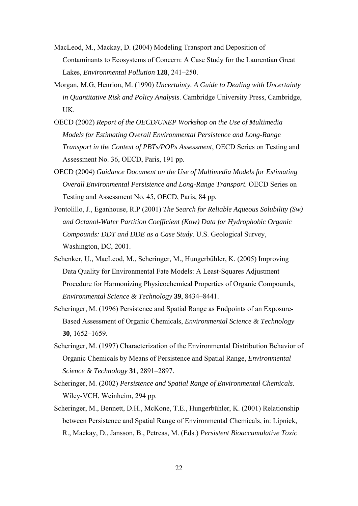- MacLeod, M., Mackay, D. (2004) Modeling Transport and Deposition of Contaminants to Ecosystems of Concern: A Case Study for the Laurentian Great Lakes, *Environmental Pollution* **128**, 241–250.
- Morgan, M.G, Henrion, M. (1990) *Uncertainty. A Guide to Dealing with Uncertainty in Quantitative Risk and Policy Analysis*. Cambridge University Press, Cambridge, UK.
- OECD (2002) *Report of the OECD/UNEP Workshop on the Use of Multimedia Models for Estimating Overall Environmental Persistence and Long-Range Transport in the Context of PBTs/POPs Assessment*, OECD Series on Testing and Assessment No. 36, OECD, Paris, 191 pp.
- OECD (2004) *Guidance Document on the Use of Multimedia Models for Estimating Overall Environmental Persistence and Long-Range Transport.* OECD Series on Testing and Assessment No. 45, OECD, Paris, 84 pp.
- Pontolillo, J., Eganhouse, R.P (2001) *The Search for Reliable Aqueous Solubility (Sw) and Octanol*-*Water Partition Coefficient (Kow) Data for Hydrophobic Organic Compounds: DDT and DDE as a Case Study*. U.S. Geological Survey, Washington, DC, 2001.
- Schenker, U., MacLeod, M., Scheringer, M., Hungerbühler, K. (2005) Improving Data Quality for Environmental Fate Models: A Least-Squares Adjustment Procedure for Harmonizing Physicochemical Properties of Organic Compounds, *Environmental Science & Technology* **39**, 8434–8441.
- Scheringer, M. (1996) Persistence and Spatial Range as Endpoints of an Exposure-Based Assessment of Organic Chemicals, *Environmental Science & Technology* **30**, 1652–1659.
- Scheringer, M. (1997) Characterization of the Environmental Distribution Behavior of Organic Chemicals by Means of Persistence and Spatial Range, *Environmental Science & Technology* **31**, 2891–2897.
- Scheringer, M. (2002) *Persistence and Spatial Range of Environmental Chemicals*. Wiley-VCH, Weinheim, 294 pp.
- Scheringer, M., Bennett, D.H., McKone, T.E., Hungerbühler, K. (2001) Relationship between Persistence and Spatial Range of Environmental Chemicals, in: Lipnick, R., Mackay, D., Jansson, B., Petreas, M. (Eds.) *Persistent Bioaccumulative Toxic*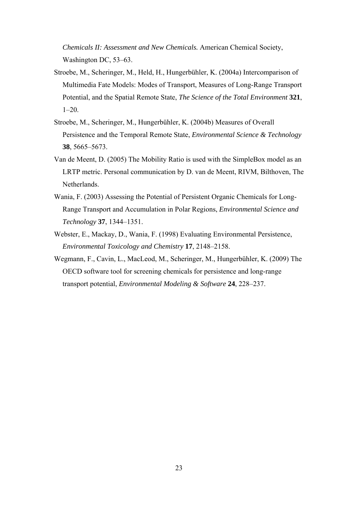*Chemicals II: Assessment and New Chemicals.* American Chemical Society, Washington DC, 53–63.

- Stroebe, M., Scheringer, M., Held, H., Hungerbühler, K. (2004a) Intercomparison of Multimedia Fate Models: Modes of Transport, Measures of Long-Range Transport Potential, and the Spatial Remote State, *The Science of the Total Environment* **321**,  $1-20$ .
- Stroebe, M., Scheringer, M., Hungerbühler, K. (2004b) Measures of Overall Persistence and the Temporal Remote State, *Environmental Science & Technology* **38**, 5665–5673.
- Van de Meent, D. (2005) The Mobility Ratio is used with the SimpleBox model as an LRTP metric. Personal communication by D. van de Meent, RIVM, Bilthoven, The **Netherlands**
- Wania, F. (2003) Assessing the Potential of Persistent Organic Chemicals for Long-Range Transport and Accumulation in Polar Regions, *Environmental Science and Technology* **37**, 1344–1351.
- Webster, E., Mackay, D., Wania, F. (1998) Evaluating Environmental Persistence, *Environmental Toxicology and Chemistry* **17**, 2148–2158.
- Wegmann, F., Cavin, L., MacLeod, M., Scheringer, M., Hungerbühler, K. (2009) The OECD software tool for screening chemicals for persistence and long-range transport potential, *Environmental Modeling & Software* **24**, 228–237.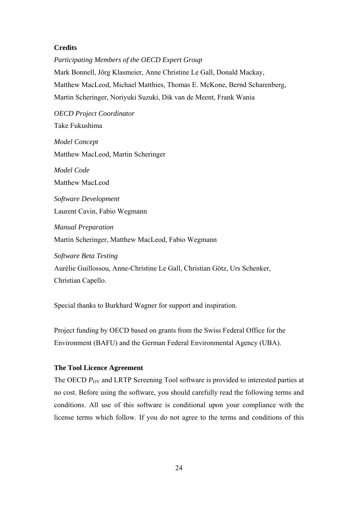# **Credits**

*Participating Members of the OECD Expert Group*  Mark Bonnell, Jörg Klasmeier, Anne Christine Le Gall, Donald Mackay, Matthew MacLeod, Michael Matthies, Thomas E. McKone, Bernd Scharenberg, Martin Scheringer, Noriyuki Suzuki, Dik van de Meent, Frank Wania

*OECD Project Coordinator*  Take Fukushima

*Model Concept* Matthew MacLeod, Martin Scheringer

*Model Code*  Matthew MacLeod

*Software Development*  Laurent Cavin, Fabio Wegmann

*Manual Preparation*  Martin Scheringer, Matthew MacLeod, Fabio Wegmann

*Software Beta Testing* Aurélie Guillossou, Anne-Christine Le Gall, Christian Götz, Urs Schenker, Christian Capello.

Special thanks to Burkhard Wagner for support and inspiration.

Project funding by OECD based on grants from the Swiss Federal Office for the Environment (BAFU) and the German Federal Environmental Agency (UBA).

# **The Tool Licence Agreement**

The OECD  $P_{\text{OV}}$  and LRTP Screening Tool software is provided to interested parties at no cost. Before using the software, you should carefully read the following terms and conditions. All use of this software is conditional upon your compliance with the license terms which follow. If you do not agree to the terms and conditions of this